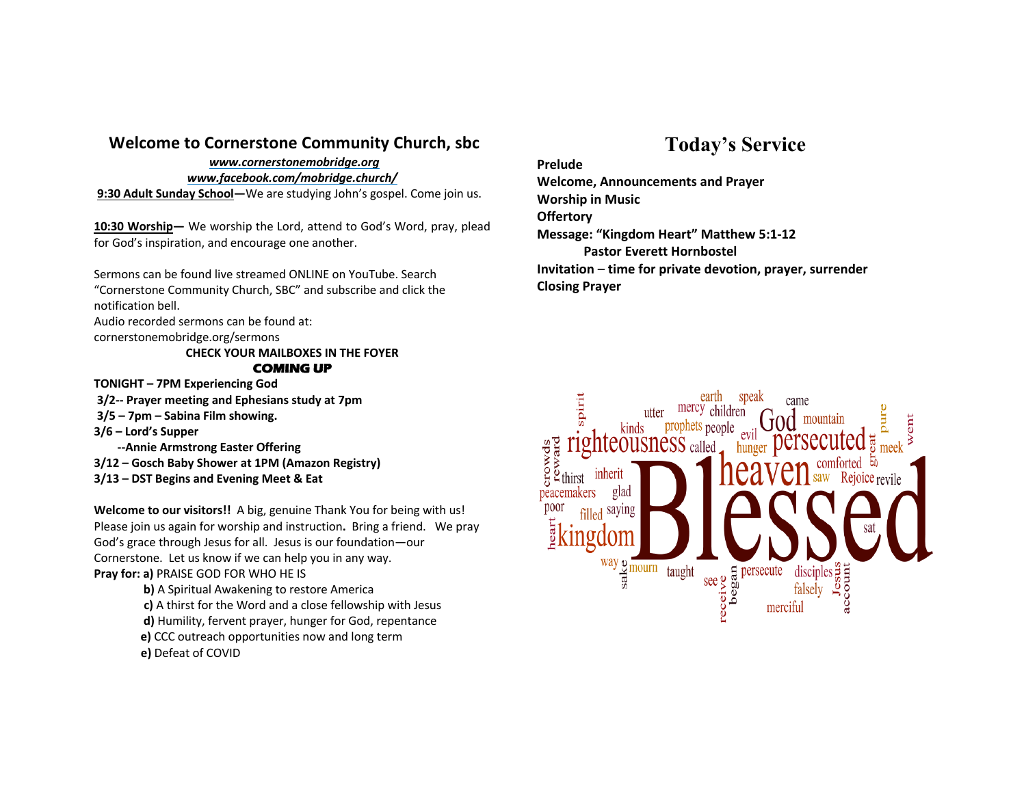### **Welcome to Cornerstone Community Church, sbc**

#### *www.cornerstonemobridge.org*

*www.facebook.com/mobridge.church/*

**9:30 Adult Sunday School—**We are studying John's gospel. Come join us.

**10:30 Worship—** We worship the Lord, attend to God's Word, pray, plead for God's inspiration, and encourage one another.

Sermons can be found live streamed ONLINE on YouTube. Search "Cornerstone Community Church, SBC" and subscribe and click the notification bell.

Audio recorded sermons can be found at:

cornerstonemobridge.org/sermons

#### **CHECK YOUR MAILBOXES IN THE FOYER COMING UP**

**TONIGHT – 7PM Experiencing God**

- **3/2-- Prayer meeting and Ephesians study at 7pm**
- **3/5 – 7pm – Sabina Film showing.**
- **3/6 – Lord's Supper**
	- **--Annie Armstrong Easter Offering**
- **3/12 – Gosch Baby Shower at 1PM (Amazon Registry)**
- **3/13 – DST Begins and Evening Meet & Eat**

**Welcome to our visitors!!** A big, genuine Thank You for being with us! Please join us again for worship and instruction**.** Bring a friend. We pray God's grace through Jesus for all. Jesus is our foundation—our Cornerstone. Let us know if we can help you in any way. **Pray for: a)** PRAISE GOD FOR WHO HE IS

> **b)** A Spiritual Awakening to restore America **c)** A thirst for the Word and a close fellowship with Jesus **d)** Humility, fervent prayer, hunger for God, repentance **e)** CCC outreach opportunities now and long term **e)** Defeat of COVID

# **Today's Service**

**Prelude**

**Welcome, Announcements and Prayer Worship in Music Offertory Message: "Kingdom Heart" Matthew 5:1-12 Pastor Everett Hornbostel Invitation** – **time for private devotion, prayer, surrender Closing Prayer**